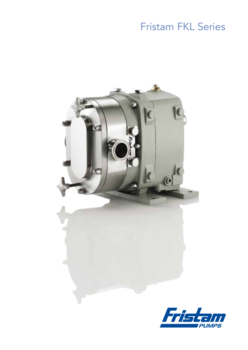# **Fristam FKL Series**



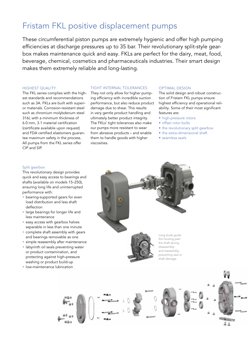## Fristam FKL positive displacement pumps

These circumferential piston pumps are extremely hygienic and offer high pumping efficiencies at discharge pressures up to 35 bar. Their revolutionary split-style gearbox makes maintenance quick and easy. FKLs are perfect for the dairy, meat, food, beverage, chemical, cosmetics and pharmaceuticals industries. Their smart design makes them extremely reliable and long-lasting.

#### HIGHEST QUALITY

The FKL series complies with the highest standards and recommendations such as 3A. FKLs are built with superior materials. Corrosion-resistant steel such as chromium molybdenum steel 316L with a minimum thickness of 6.0 mm, 3.1 material certification (certificate available upon request) and FDA certified elastomers guarantee maximum safety in the process. All pumps from the FKL series offer CIP and SIP.

#### **TIGHT INTERNAL TOLERANCES**

They not only allow for higher pumping efficiency with incredible suction performance, but also reduce product damage due to shear. This results in very gentle product handling and ultimately better product integrity. The FKLs' tight tolerances also make our pumps more resistant to wear from abrasive products – and enable them to handle goods with higher viscosities.

#### OPTIMAL DESIGN

The solid design and robust construction of Fristam FKL pumps ensure highest efficiency and operational reliability. Some of their most significant features are:

- high-pressure rotors
- offset rotor bolts
- the revolutionary split gearbox
- the extra-dimensional shaft
- seamless seals

#### Split gearbox

This revolutionary design provides quick and easy access to bearings and shafts (available on models 15–250), ensuring long life and uninterrupted performance with:

- bearing-supported gears for even load distribution and less shaft deflection
- large bearings for longer life and less maintenance
- easy access with gearbox halves separable in less than one minute
- complete shaft assembly with gears and bearings removable as one
- simple reassembly after maintenance
- labyrinth oil seals preventing water or product contamination, and protecting against high-pressure washing or product build-up
- low-maintenance lubrication



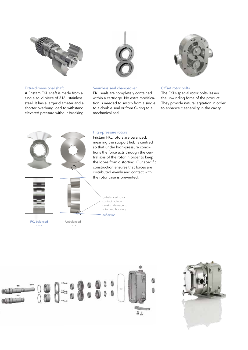

#### Extra-dimensional shaft

A Fristam FKL shaft is made from a single solid piece of 316L stainless steel. It has a larger diameter and a shorter overhung load to withstand elevated pressure without breaking.



#### Seamless seal changeover

FKL seals are completely contained within a cartridge. No extra modification is needed to switch from a single to a double seal or from O-ring to a mechanical seal.



#### Offset rotor bolts

The FKL's special rotor bolts lessen the unwinding force of the product. They provide natural agitation in order to enhance cleanability in the cavity.